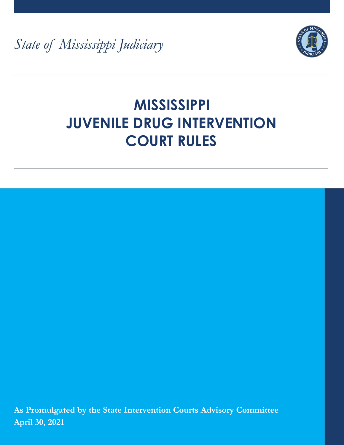State of Mississippi Judiciary



# **MISSISSIPPI JUVENILE DRUG INTERVENTION COURT RULES**

**As Promulgated by the State Intervention Courts Advisory Committee April 30, 2021**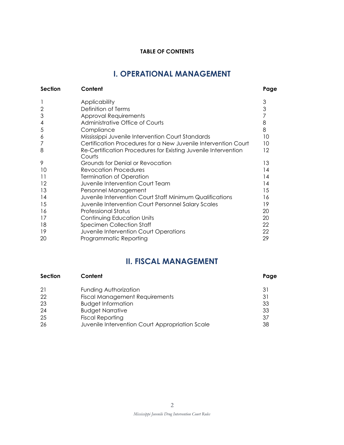#### **TABLE OF CONTENTS**

# **I. OPERATIONAL MANAGEMENT**

| <b>Section</b> | Content                                                                  | Page              |
|----------------|--------------------------------------------------------------------------|-------------------|
|                | Applicability                                                            | 3                 |
| $\overline{2}$ | Definition of Terms                                                      | 3                 |
| 3              | <b>Approval Requirements</b>                                             |                   |
| 4              | Administrative Office of Courts                                          | 8                 |
| 5              | Compliance                                                               | 8                 |
| 6              | Mississippi Juvenile Intervention Court Standards                        | 10                |
|                | Certification Procedures for a New Juvenile Intervention Court           | 10                |
| 8              | Re-Certification Procedures for Existing Juvenile Intervention<br>Courts | $12 \overline{ }$ |
| 9              | Grounds for Denial or Revocation                                         | 13                |
| 10             | Revocation Procedures                                                    | 14                |
| 11             | Termination of Operation                                                 | 14                |
| 12             | Juvenile Intervention Court Team                                         | 14                |
| 13             | Personnel Management                                                     | 15                |
| 14             | Juvenile Intervention Court Staff Minimum Qualifications                 | 16                |
| 15             | Juvenile Intervention Court Personnel Salary Scales                      | 19                |
| 16             | <b>Professional Status</b>                                               | 20                |
| 17             | Continuing Education Units                                               | 20                |
| 18             | <b>Specimen Collection Staff</b>                                         | 22                |
| 19             | Juvenile Intervention Court Operations                                   | 22                |
| 20             | Programmatic Reporting                                                   | 29                |

# **II. FISCAL MANAGEMENT**

| Section | Content                                         | Page |
|---------|-------------------------------------------------|------|
| -21     | Funding Authorization                           | 31   |
| 22      | <b>Fiscal Management Requirements</b>           | 31   |
| 23      | <b>Budget Information</b>                       | 33   |
| 24      | <b>Budget Narrative</b>                         | 33   |
| 25      | <b>Fiscal Reporting</b>                         | 37   |
| 26      | Juvenile Intervention Court Appropriation Scale | 38   |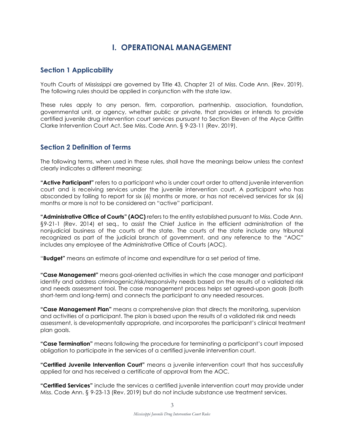## **I. OPERATIONAL MANAGEMENT**

#### **Section 1 Applicability**

Youth Courts of Mississippi are governed by Title 43, Chapter 21 of Miss. Code Ann. (Rev. 2019). The following rules should be applied in conjunction with the state law.

These rules apply to any person, firm, corporation, partnership, association, foundation, governmental unit, or agency, whether public or private, that provides or intends to provide certified juvenile drug intervention court services pursuant to Section Eleven of the Alyce Griffin Clarke Intervention Court Act. See Miss. Code Ann. § 9-23-11 (Rev. 2019).

#### **Section 2 Definition of Terms**

The following terms, when used in these rules, shall have the meanings below unless the context clearly indicates a different meaning:

**"Active Participant"** refers to a participant who is under court order to attend juvenile intervention court and is receiving services under the juvenile intervention court. A participant who has absconded by failing to report for six (6) months or more, or has not received services for six (6) months or more is not to be considered an "active" participant.

**"Administrative Office of Courts" (AOC)** refers to the entity established pursuant to Miss. Code Ann. §9-21-1 (Rev. 2014) et seq., to assist the Chief Justice in the efficient administration of the nonjudicial business of the courts of the state. The courts of the state include any tribunal recognized as part of the judicial branch of government, and any reference to the "AOC" includes any employee of the Administrative Office of Courts (AOC).

"**Budget"** means an estimate of income and expenditure for a set period of time.

**"Case Management"** means goal-oriented activities in which the case manager and participant identify and address criminogenic/risk/responsivity needs based on the results of a validated risk and needs assessment tool. The case management process helps set agreed-upon goals (both short-term and long-term) and connects the participant to any needed resources.

**"Case Management Plan"** means a comprehensive plan that directs the monitoring, supervision and activities of a participant. The plan is based upon the results of a validated risk and needs assessment, is developmentally appropriate, and incorporates the participant's clinical treatment plan goals.

**"Case Termination"** means following the procedure for terminating a participant's court imposed obligation to participate in the services of a certified juvenile intervention court.

**"Certified Juvenile Intervention Court"** means a juvenile intervention court that has successfully applied for and has received a certificate of approval from the AOC.

**"Certified Services"** include the services a certified juvenile intervention court may provide under Miss. Code Ann. § 9-23-13 (Rev. 2019) but do not include substance use treatment services.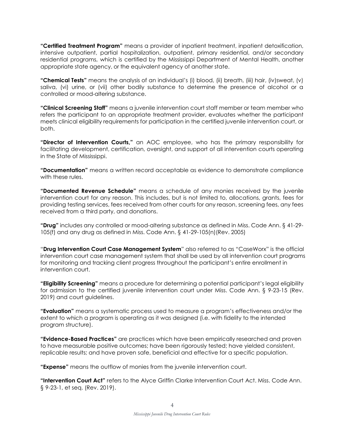**"Certified Treatment Program"** means a provider of inpatient treatment, inpatient detoxification, intensive outpatient, partial hospitalization, outpatient, primary residential, and/or secondary residential programs, which is certified by the Mississippi Department of Mental Health, another appropriate state agency, or the equivalent agency of another state.

**"Chemical Tests"** means the analysis of an individual's (i) blood, (ii) breath, (iii) hair, (iv)sweat, (v) saliva, (vi) urine, or (vii) other bodily substance to determine the presence of alcohol or a controlled or mood-altering substance.

**"Clinical Screening Staff"** means a juvenile intervention court staff member or team member who refers the participant to an appropriate treatment provider, evaluates whether the participant meets clinical eligibility requirements for participation in the certified juvenile intervention court, or both.

**"Director of Intervention Courts,"** an AOC employee, who has the primary responsibility for facilitating development, certification, oversight, and support of all intervention courts operating in the State of Mississippi.

**"Documentation"** means a written record acceptable as evidence to demonstrate compliance with these rules.

**"Documented Revenue Schedule"** means a schedule of any monies received by the juvenile intervention court for any reason. This includes, but is not limited to, allocations, grants, fees for providing testing services, fees received from other courts for any reason, screening fees, any fees received from a third party, and donations.

**"Drug"** includes any controlled or mood-altering substance as defined in Miss. Code Ann. § 41-29- 105(f) and any drug as defined in Miss. Code Ann. § 41-29-105(n)(Rev. 2005)

"**Drug Intervention Court Case Management System**" also referred to as "CaseWorx" is the official intervention court case management system that shall be used by all intervention court programs for monitoring and tracking client progress throughout the participant's entire enrollment in intervention court.

**"Eligibility Screening"** means a procedure for determining a potential participant's legal eligibility for admission to the certified juvenile intervention court under Miss. Code Ann. § 9-23-15 (Rev. 2019) and court guidelines.

**"Evaluation"** means a systematic process used to measure a program's effectiveness and/or the extent to which a program is operating as it was designed (i.e. with fidelity to the intended program structure).

**"Evidence-Based Practices"** are practices which have been empirically researched and proven to have measurable positive outcomes; have been rigorously tested; have yielded consistent, replicable results; and have proven safe, beneficial and effective for a specific population.

**"Expense"** means the outflow of monies from the juvenile intervention court.

**"Intervention Court Act"** refers to the Alyce Griffin Clarke Intervention Court Act. Miss. Code Ann. § 9-23-1, et seq. (Rev. 2019).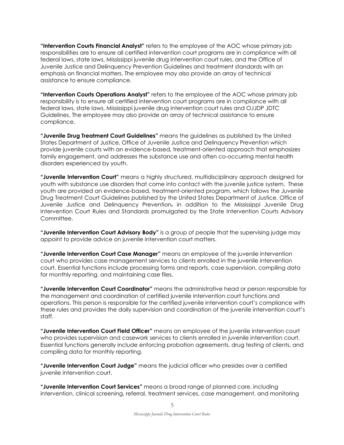**"Intervention Courts Financial Analyst"** refers to the employee of the AOC whose primary job responsibilities are to ensure all certified intervention court programs are in compliance with all federal laws, state laws, Mississippi juvenile drug intervention court rules, and the Office of Juvenile Justice and Delinquency Prevention Guidelines and treatment standards with an emphasis on financial matters. The employee may also provide an array of technical assistance to ensure compliance.

**"Intervention Courts Operations Analyst"** refers to the employee of the AOC whose primary job responsibility is to ensure all certified intervention court programs are in compliance with all federal laws, state laws, Mississippi juvenile drug intervention court rules and OJJDP JDTC Guidelines. The employee may also provide an array of technical assistance to ensure compliance.

**"Juvenile Drug Treatment Court Guidelines"** means the guidelines as published by the United States Department of Justice, Office of Juvenile Justice and Delinquency Prevention which provide juvenile courts with an evidence-based, treatment-oriented approach that emphasizes family engagement, and addresses the substance use and often co-occurring mental health disorders experienced by youth.

**"Juvenile Intervention Court"** means a highly structured, multidisciplinary approach designed for youth with substance use disorders that come into contact with the juvenile justice system. These youth are provided an evidence-based, treatment-oriented program, which follows the Juvenile Drug Treatment Court Guidelines published by the United States Department of Justice, Office of Juvenile Justice and Delinquency Prevention, in addition to the Mississippi Juvenile Drug Intervention Court Rules and Standards promulgated by the State Intervention Courts Advisory Committee.

**"Juvenile Intervention Court Advisory Body"** is a group of people that the supervising judge may appoint to provide advice on juvenile intervention court matters.

**"Juvenile Intervention Court Case Manager"** means an employee of the juvenile intervention court who provides case management services to clients enrolled in the juvenile intervention court. Essential functions include processing forms and reports, case supervision, compiling data for monthly reporting, and maintaining case files.

**"Juvenile Intervention Court Coordinator"** means the administrative head or person responsible for the management and coordination of certified juvenile intervention court functions and operations. This person is responsible for the certified juvenile intervention court's compliance with these rules and provides the daily supervision and coordination of the juvenile intervention court's staff.

**"Juvenile Intervention Court Field Officer"** means an employee of the juvenile intervention court who provides supervision and casework services to clients enrolled in juvenile intervention court. Essential functions generally include enforcing probation agreements, drug testing of clients, and compiling data for monthly reporting.

**"Juvenile Intervention Court Judge"** means the judicial officer who presides over a certified juvenile intervention court.

**"Juvenile Intervention Court Services"** means a broad range of planned care, including intervention, clinical screening, referral, treatment services, case management, and monitoring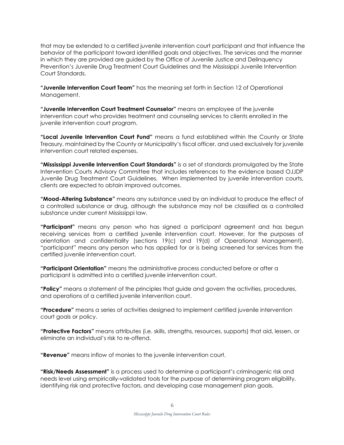that may be extended to a certified juvenile intervention court participant and that influence the behavior of the participant toward identified goals and objectives. The services and the manner in which they are provided are guided by the Office of Juvenile Justice and Delinquency Prevention's Juvenile Drug Treatment Court Guidelines and the Mississippi Juvenile Intervention Court Standards.

**"Juvenile Intervention Court Team"** has the meaning set forth in Section 12 of Operational Management.

**"Juvenile Intervention Court Treatment Counselor"** means an employee of the juvenile intervention court who provides treatment and counseling services to clients enrolled in the juvenile intervention court program.

**"Local Juvenile Intervention Court Fund"** means a fund established within the County or State Treasury, maintained by the County or Municipality's fiscal officer, and used exclusively for juvenile intervention court related expenses.

**"Mississippi Juvenile Intervention Court Standards"** is a set of standards promulgated by the State Intervention Courts Advisory Committee that includes references to the evidence based OJJDP Juvenile Drug Treatment Court Guidelines. When implemented by juvenile intervention courts, clients are expected to obtain improved outcomes.

**"Mood-Altering Substance"** means any substance used by an individual to produce the effect of a controlled substance or drug, although the substance may not be classified as a controlled substance under current Mississippi law.

**"Participant"** means any person who has signed a participant agreement and has begun receiving services from a certified juvenile intervention court. However, for the purposes of orientation and confidentiality (sections 19(c) and 19(d) of Operational Management), "participant" means any person who has applied for or is being screened for services from the certified juvenile intervention court.

**"Participant Orientation"** means the administrative process conducted before or after a participant is admitted into a certified juvenile intervention court.

**"Policy"** means a statement of the principles that guide and govern the activities, procedures, and operations of a certified juvenile intervention court.

**"Procedure"** means a series of activities designed to implement certified juvenile intervention court goals or policy.

**"Protective Factors"** means attributes (i.e. skills, strengths, resources, supports) that aid, lessen, or eliminate an individual's risk to re-offend.

**"Revenue"** means inflow of monies to the juvenile intervention court.

**"Risk/Needs Assessment"** is a process used to determine a participant's criminogenic risk and needs level using empirically-validated tools for the purpose of determining program eligibility, identifying risk and protective factors, and developing case management plan goals.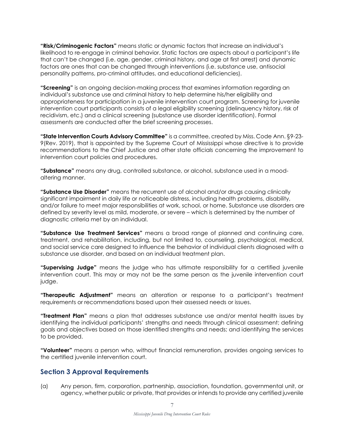**"Risk/Criminogenic Factors"** means static or dynamic factors that increase an individual's likelihood to re-engage in criminal behavior. Static factors are aspects about a participant's life that can't be changed (i.e. age, gender, criminal history, and age at first arrest) and dynamic factors are ones that can be changed through interventions (i.e. substance use, antisocial personality patterns, pro-criminal attitudes, and educational deficiencies).

**"Screening"** is an ongoing decision-making process that examines information regarding an individual's substance use and criminal history to help determine his/her eligibility and appropriateness for participation in a juvenile intervention court program. Screening for juvenile intervention court participants consists of a legal eligibility screening (delinquency history, risk of recidivism, etc.) and a clinical screening (substance use disorder identification). Formal assessments are conducted after the brief screening processes.

**"State Intervention Courts Advisory Committee"** is a committee, created by Miss. Code Ann. §9-23- 9(Rev. 2019), that is appointed by the Supreme Court of Mississippi whose directive is to provide recommendations to the Chief Justice and other state officials concerning the improvement to intervention court policies and procedures.

**"Substance"** means any drug, controlled substance, or alcohol, substance used in a moodaltering manner.

**"Substance Use Disorder"** means the recurrent use of alcohol and/or drugs causing clinically significant impairment in daily life or noticeable distress, including health problems, disability, and/or failure to meet major responsibilities at work, school, or home. Substance use disorders are defined by severity level as mild, moderate, or severe – which is determined by the number of diagnostic criteria met by an individual.

**"Substance Use Treatment Services"** means a broad range of planned and continuing care, treatment, and rehabilitation, including, but not limited to, counseling, psychological, medical, and social service care designed to influence the behavior of individual clients diagnosed with a substance use disorder, and based on an individual treatment plan.

**"Supervising Judge"** means the judge who has ultimate responsibility for a certified juvenile intervention court. This may or may not be the same person as the juvenile intervention court judge.

**"Therapeutic Adjustment"** means an alteration or response to a participant's treatment requirements or recommendations based upon their assessed needs or issues.

**"Treatment Plan"** means a plan that addresses substance use and/or mental health issues by identifying the individual participants' strengths and needs through clinical assessment; defining goals and objectives based on those identified strengths and needs; and identifying the services to be provided.

**"Volunteer"** means a person who, without financial remuneration, provides ongoing services to the certified juvenile intervention court.

#### **Section 3 Approval Requirements**

(a) Any person, firm, corporation, partnership, association, foundation, governmental unit, or agency, whether public or private, that provides or intends to provide any certified juvenile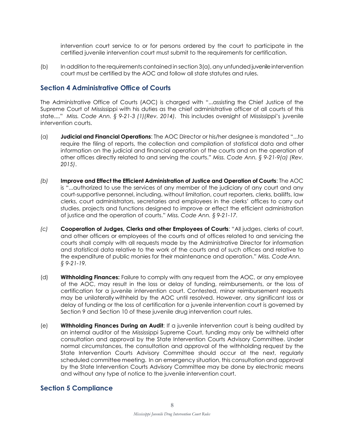intervention court service to or for persons ordered by the court to participate in the certified juvenile intervention court must submit to the requirements for certification.

 $(b)$  In addition to the requirements contained in section 3(a), any unfunded juvenile intervention court must be certified by the AOC and follow all state statutes and rules.

#### **Section 4 Administrative Office of Courts**

The Administrative Office of Courts (AOC) is charged with "...assisting the Chief Justice of the Supreme Court of Mississippi with his duties as the chief administrative officer of all courts of this state...." *Miss. Code Ann. § 9-21-3 (1)(Rev. 2014).* This includes oversight of Mississippi's juvenile intervention courts.

- (a) **Judicial and Financial Operations**: The AOC Director or his/her designee is mandated "...to require the filing of reports, the collection and compilation of statistical data and other information on the judicial and financial operation of the courts and on the operation of other offices directly related to and serving the courts." *Miss. Code Ann. § 9-21-9(a) (Rev. 2015)*.
- *(b)* **Improve and Effect the Efficient Administration of Justice and Operation of Courts**: The AOC is "...authorized to use the services of any member of the judiciary of any court and any court-supportive personnel, including, without limitation, court reporters, clerks, bailiffs, law clerks, court administrators, secretaries and employees in the clerks' offices to carry out studies, projects and functions designed to improve or effect the efficient administration of justice and the operation of courts." *Miss. Code Ann. § 9-21-17.*
- *(c)* **Cooperation of Judges, Clerks and other Employees of Courts**: "All judges, clerks of court, and other officers or employees of the courts and of offices related to and servicing the courts shall comply with all requests made by the Administrative Director for information and statistical data relative to the work of the courts and of such offices and relative to the expenditure of public monies for their maintenance and operation." *Miss. CodeAnn. § 9-21-19.*
- (d) **Withholding Finances:** Failure to comply with any request from the AOC, or any employee of the AOC, may result in the loss or delay of funding, reimbursements, or the loss of certification for a juvenile intervention court. Contested, minor reimbursement requests may be unilaterally withheld by the AOC until resolved. However, any significant loss or delay of funding or the loss of certification for a juvenile intervention court is governed by Section 9 and Section 10 of these juvenile drug intervention court rules.
- (e) **Withholding Finances During an Audit**: If a juvenile intervention court is being audited by an internal auditor of the Mississippi Supreme Court, funding may only be withheld after consultation and approval by the State Intervention Courts Advisory Committee. Under normal circumstances, the consultation and approval of the withholding request by the State Intervention Courts Advisory Committee should occur at the next, regularly scheduled committee meeting. In an emergency situation, this consultation and approval by the State Intervention Courts Advisory Committee may be done by electronic means and without any type of notice to the juvenile intervention court.

## **Section 5 Compliance**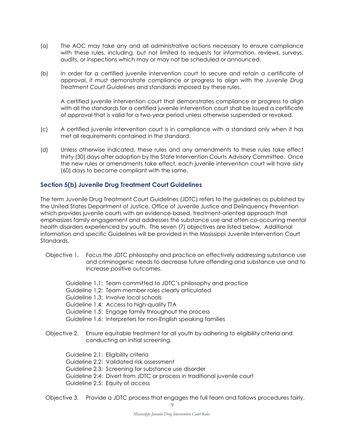- (a) The AOC may take any and all administrative actions necessary to ensure compliance with these rules, including, but not limited to requests for information, reviews, surveys, audits, or inspections which may or may not be scheduled or announced.
- (b) In order for a certified juvenile intervention court to secure and retain a certificate of approval, it must demonstrate compliance or progress to align with the *Juvenile Drug Treatment Court Guidelines* and standards imposed by these rules.

A certified juvenile intervention court that demonstrates compliance or progress to align with all the standards for a certified juvenile intervention court shall be issued a certificate of approval that is valid for a two-year period unless otherwise suspended or revoked.

- (c) A certified juvenile intervention court is in compliance with a standard only when it has met all requirements contained in the standard.
- (d) Unless otherwise indicated, these rules and any amendments to these rules take effect thirty (30) days after adoption by the State Intervention Courts Advisory Committee. Once the new rules or amendments take effect, each juvenile intervention court will have sixty (60) days to become compliant with the same.

#### **Section 5(b) Juvenile Drug Treatment Court Guidelines**

The term Juvenile Drug Treatment Court Guidelines (JDTC) refers to the guidelines as published by the United States Department of Justice, Office of Juvenile Justice and Delinquency Prevention which provides juvenile courts with an evidence-based, treatment-oriented approach that emphasizes family engagement and addresses the substance use and often co-occurring mental health disorders experienced by youth. The seven (7) objectives are listed below. Additional information and specific Guidelines will be provided in the Mississippi Juvenile Intervention Court Standards.

- Objective 1. Focus the JDTC philosophy and practice on effectively addressing substance use and criminogenic needs to decrease future offending and substance use and to increase positive outcomes.
	- Guideline 1.1: Team committed to JDTC's philosophy and practice
	- Guideline 1.2: Team member roles clearly articulated
	- Guideline 1.3: Involve local schools
	- Guideline 1.4: Access to high-quality TTA
	- Guideline 1.5: Engage family throughout the process
	- Guideline 1.6: Interpreters for non-English speaking families
- Objective 2. Ensure equitable treatment for all youth by adhering to eligibility criteria and conducting an initial screening.
	- Guideline 2.1: Eligibility criteria
	- Guideline 2.2: Validated risk assessment
	- Guideline 2.3: Screening for substance use disorder
	- Guideline 2.4: Divert from JDTC or process in traditional juvenile court
	- Guideline 2.5: Equity of access

Objective 3. Provide a JDTC process that engages the full team and follows procedures fairly.

9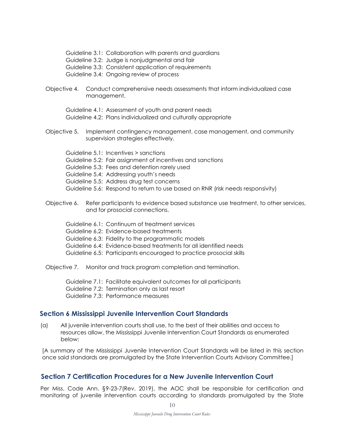Guideline 3.1: Collaboration with parents and guardians Guideline 3.2: Judge is nonjudgmental and fair Guideline 3.3: Consistent application of requirements

Guideline 3.4: Ongoing review of process

Objective 4. Conduct comprehensive needs assessments that inform individualized case management.

Guideline 4.1: Assessment of youth and parent needs Guideline 4.2: Plans individualized and culturally appropriate

Objective 5. Implement contingency management, case management, and community supervision strategies effectively.

Guideline 5.1: Incentives > sanctions Guideline 5.2: Fair assignment of incentives and sanctions Guideline 5.3: Fees and detention rarely used Guideline 5.4: Addressing youth's needs Guideline 5.5: Address drug test concerns Guideline 5.6: Respond to return to use based on RNR (risk needs responsivity)

- Objective 6. Refer participants to evidence based substance use treatment, to other services, and for prosocial connections.
	- Guideline 6.1: Continuum of treatment services
	- Guideline 6.2: Evidence-based treatments
	- Guideline 6.3: Fidelity to the programmatic models
	- Guideline 6.4: Evidence-based treatments for all identified needs
	- Guideline 6.5: Participants encouraged to practice prosocial skills

Objective 7. Monitor and track program completion and termination.

Guideline 7.1: Facilitate equivalent outcomes for all participants

Guideline 7.2: Termination only as last resort

Guideline 7.3: Performance measures

## **Section 6 Mississippi Juvenile Intervention Court Standards**

(a) All juvenile intervention courts shall use, to the best of their abilities and access to resources allow, the Mississippi Juvenile Intervention Court Standards as enumerated below:

[A summary of the Mississippi Juvenile Intervention Court Standards will be listed in this section once said standards are promulgated by the State Intervention Courts Advisory Committee.]

## **Section 7 Certification Procedures for a New Juvenile Intervention Court**

Per Miss. Code Ann. §9-23-7(Rev. 2019), the AOC shall be responsible for certification and monitoring of juvenile intervention courts according to standards promulgated by the State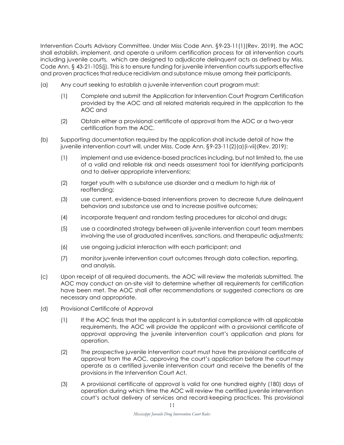Intervention Courts Advisory Committee. Under Miss Code Ann. §9-23-11(1)(Rev. 2019), the AOC shall establish, implement, and operate a uniform certification process for all intervention courts including juvenile courts, which are designed to adjudicate delinquent acts as defined by Miss. Code Ann. § 43-21-105(j). This is to ensure funding for juvenile intervention courts supports effective and proven practices that reduce recidivism and substance misuse among their participants.

- (a) Any court seeking to establish a juvenile intervention court program must:
	- (1) Complete and submit the Application for Intervention Court Program Certification provided by the AOC and all related materials required in the application to the AOC and
	- (2) Obtain either a provisional certificate of approval from the AOC or a two-year certification from the AOC.
- (b) Supporting documentation required by the application shall include detail of how the juvenile intervention court will, under Miss. Code Ann. §9-23-11(2)(a)(i-vii)(Rev. 2019):
	- (1) implement and use evidence-based practices including, but not limited to, the use of a valid and reliable risk and needs assessment tool for identifying participants and to deliver appropriate interventions;
	- (2) target youth with a substance use disorder and a medium to high risk of reoffending;
	- (3) use current, evidence-based interventions proven to decrease future delinquent behaviors and substance use and to increase positive outcomes;
	- (4) incorporate frequent and random testing procedures for alcohol and drugs;
	- (5) use a coordinated strategy between all juvenile intervention court team members involving the use of graduated incentives, sanctions, and therapeutic adjustments;
	- (6) use ongoing judicial interaction with each participant; and
	- (7) monitor juvenile intervention court outcomes through data collection, reporting, and analysis.
- (c) Upon receipt of all required documents, the AOC will review the materials submitted. The AOC may conduct an on-site visit to determine whether all requirements for certification have been met. The AOC shall offer recommendations or suggested corrections as are necessary and appropriate.
- (d) Provisional Certificate of Approval
	- (1) If the AOC finds that the applicant is in substantial compliance with all applicable requirements, the AOC will provide the applicant with a provisional certificate of approval approving the juvenile intervention court's application and plans for operation.
	- (2) The prospective juvenile intervention court must have the provisional certificate of approval from the AOC, approving the court's application before the court may operate as a certified juvenile intervention court and receive the benefits of the provisions in the Intervention Court Act.
	- (3) A provisional certificate of approval is valid for one hundred eighty (180) days of operation during which time the AOC will review the certified juvenile intervention court's actual delivery of services and record-keeping practices. This provisional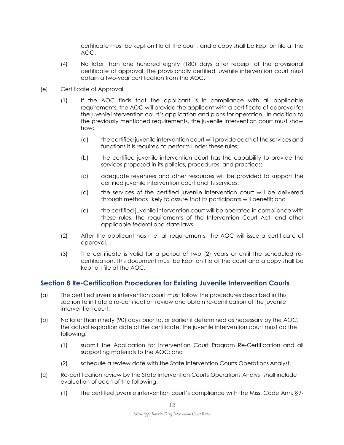certificate must be kept on file at the court, and a copy shall be kept on file at the AOC.

- (4) No later than one hundred eighty (180) days after receipt of the provisional certificate of approval, the provisionally certified juvenile intervention court must obtain a two-year certification from the AOC.
- (e) Certificate of Approval
	- (1) If the AOC finds that the applicant is in compliance with all applicable requirements, the AOC will provide the applicant with a certificate of approval for the juvenile intervention court's application and plans for operation. In addition to the previously mentioned requirements, the juvenile intervention court must show how:
		- (a) the certified juvenile intervention court will provide each of the services and functions it is required to perform under these rules;
		- (b) the certified juvenile intervention court has the capability to provide the services proposed in its policies, procedures, and practices;
		- (c) adequate revenues and other resources will be provided to support the certified juvenile intervention court and its services;
		- (d) the services of the certified juvenile intervention court will be delivered through methods likely to assure that its participants will benefit; and
		- (e) the certified juvenile intervention court will be operated in compliance with these rules, the requirements of the Intervention Court Act, and other applicable federal and state laws.
	- (2) After the applicant has met all requirements, the AOC will issue a certificate of approval.
	- (3) The certificate is valid for a period of two (2) years or until the scheduled recertification. This document must be kept on file at the court and a copy shall be kept on file at the AOC.

## **Section 8 Re-Certification Procedures for Existing Juvenile Intervention Courts**

- (a) The certified juvenile intervention court must follow the procedures described in this section to initiate a re-certification review and obtain re-certification of the juvenile intervention court.
- (b) No later than ninety (90) days prior to, or earlier if determined as necessary by the AOC, the actual expiration date of the certificate, the juvenile intervention court must do the following:
	- (1) submit the Application for Intervention Court Program Re-Certification and all supporting materials to the AOC; and
	- (2) schedule a review date with the State Intervention Courts Operations Analyst.
- (c) Re-certification review by the State Intervention Courts Operations Analyst shall include evaluation of each of the following:
	- (1) the certified juvenile intervention court's compliance with the Miss. Code Ann. §9-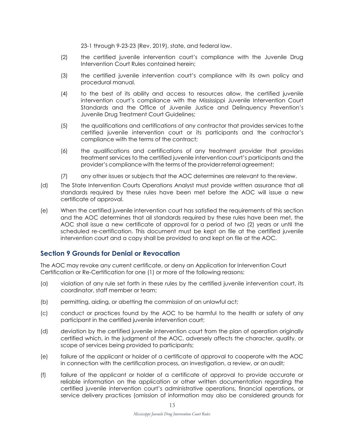23-1 through 9-23-23 (Rev. 2019), state, and federal law.

- (2) the certified juvenile intervention court's compliance with the Juvenile Drug Intervention Court Rules contained herein;
- (3) the certified juvenile intervention court's compliance with its own policy and procedural manual.
- (4) to the best of its ability and access to resources allow, the certified juvenile intervention court's compliance with the Mississippi Juvenile Intervention Court Standards and the Office of Juvenile Justice and Delinquency Prevention's Juvenile Drug Treatment Court Guidelines;
- (5) the qualifications and certifications of any contractor that provides services tothe certified juvenile intervention court or its participants and the contractor's compliance with the terms of the contract;
- (6) the qualifications and certifications of any treatment provider that provides treatment services to the certified juvenile intervention court's participants and the provider's compliance with the terms of the provider referral agreement;
- (7) any other issues or subjects that the AOC determines are relevant to the review.
- (d) The State Intervention Courts Operations Analyst must provide written assurance that all standards required by these rules have been met before the AOC will issue a new certificate of approval.
- (e) When the certified juvenile intervention court has satisfied the requirements of this section and the AOC determines that all standards required by these rules have been met, the AOC shall issue a new certificate of approval for a period of two (2) years or until the scheduled re-certification. This document must be kept on file at the certified juvenile intervention court and a copy shall be provided to and kept on file at the AOC.

## **Section 9 Grounds for Denial or Revocation**

The AOC may revoke any current certificate, or deny an Application for Intervention Court Certification or Re-Certification for one (1) or more of the following reasons:

- (a) violation of any rule set forth in these rules by the certified juvenile intervention court, its coordinator, staff member or team;
- (b) permitting, aiding, or abetting the commission of an unlawful act;
- (c) conduct or practices found by the AOC to be harmful to the health or safety of any participant in the certified juvenile intervention court;
- (d) deviation by the certified juvenile intervention court from the plan of operation originally certified which, in the judgment of the AOC, adversely affects the character, quality, or scope of services being provided to participants;
- (e) failure of the applicant or holder of a certificate of approval to cooperate with the AOC in connection with the certification process, an investigation, a review, or an audit;
- (f) failure of the applicant or holder of a certificate of approval to provide accurate or reliable information on the application or other written documentation regarding the certified juvenile intervention court's administrative operations, financial operations, or service delivery practices (omission of information may also be considered grounds for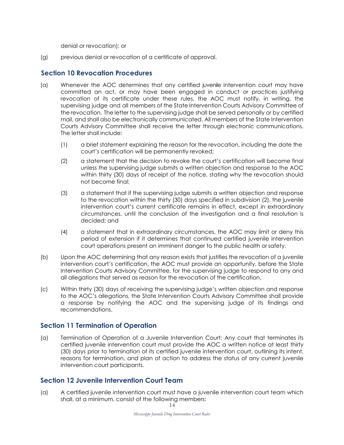denial or revocation); or

(g) previous denial or revocation of a certificate of approval.

#### **Section 10 Revocation Procedures**

- (a) Whenever the AOC determines that any certified juvenile intervention court may have committed an act, or may have been engaged in conduct or practices justifying revocation of its certificate under these rules, the AOC must notify, in writing, the supervising judge and all members of the State Intervention Courts Advisory Committee of the revocation. The letter to the supervising judge shall be served personally or by certified mail, and shall also be electronically communicated. All members of the State Intervention Courts Advisory Committee shall receive the letter through electronic communications. The letter shall include:
	- (1) a brief statement explaining the reason for the revocation, including the date the court's certification will be permanently revoked;
	- (2) a statement that the decision to revoke the court's certification will become final unless the supervising judge submits a written objection and response to the AOC within thirty (30) days of receipt of the notice, stating why the revocation should not become final;
	- (3) a statement that if the supervising judge submits a written objection and response to the revocation within the thirty (30) days specified in subdivision (2), the juvenile intervention court's current certificate remains in effect, except in extraordinary circumstances, until the conclusion of the investigation and a final resolution is decided; and
	- (4) a statement that in extraordinary circumstances, the AOC may limit or deny this period of extension if it determines that continued certified juvenile intervention court operations present an imminent danger to the public health or safety.
- (b) Upon the AOC determining that any reason exists that justifies the revocation of a juvenile intervention court's certification, the AOC must provide an opportunity, before the State Intervention Courts Advisory Committee, for the supervising judge to respond to any and all allegations that served as reason for the revocation of the certification.
- (c) Within thirty (30) days of receiving the supervising judge's written objection and response to the AOC's allegations, the State Intervention Courts Advisory Committee shall provide a response by notifying the AOC and the supervising judge of its findings and recommendations.

## **Section 11 Termination of Operation**

(a) Termination of Operation of a Juvenile Intervention Court: Any court that terminates its certified juvenile intervention court must provide the AOC a written notice at least thirty (30) days prior to termination of its certified juvenile intervention court, outlining its intent, reasons for termination, and plan of action to address the status of any current juvenile intervention court participants.

## **Section 12 Juvenile Intervention Court Team**

14 (a) A certified juvenile intervention court must have a juvenile intervention court team which shall, at a minimum, consist of the following members: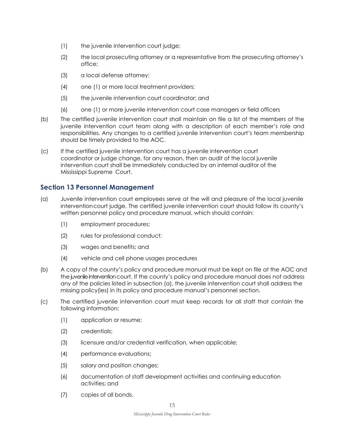- (1) the juvenile intervention court judge;
- (2) the local prosecuting attorney or a representative from the prosecuting attorney's office;
- (3) a local defense attorney;
- (4) one (1) or more local treatment providers;
- (5) the juvenile intervention court coordinator; and
- (6) one (1) or more juvenile intervention court case managers or field officers
- (b) The certified juvenile intervention court shall maintain on file a list of the members of the juvenile intervention court team along with a description of each member's role and responsibilities. Any changes to a certified juvenile intervention court's team membership should be timely provided to the AOC.
- (c) If the certified juvenile intervention court has a juvenile intervention court coordinator or judge change, for any reason, then an audit of the local juvenile intervention court shall be immediately conducted by an internal auditor of the Mississippi Supreme Court.

## **Section 13 Personnel Management**

- (a) Juvenile intervention court employees serve at the will and pleasure of the local juvenile interventioncourt judge. The certified juvenile intervention court should follow its county's written personnel policy and procedure manual, which should contain:
	- (1) employment procedures;
	- (2) rules for professional conduct;
	- (3) wages and benefits; and
	- (4) vehicle and cell phone usages procedures
- (b) A copy of the county's policy and procedure manual must be kept on file at the AOC and the juvenile intervention court. If the county's policy and procedure manual does not address any of the policies listed in subsection (a), the juvenile intervention court shall address the missing policy(ies) in its policy and procedure manual's personnel section.
- (c) The certified juvenile intervention court must keep records for all staff that contain the following information:
	- (1) application or resume;
	- (2) credentials;
	- (3) licensure and/or credential verification, when applicable;
	- (4) performance evaluations;
	- (5) salary and position changes;
	- (6) documentation of staff development activities and continuing education activities; and
	- (7) copies of all bonds.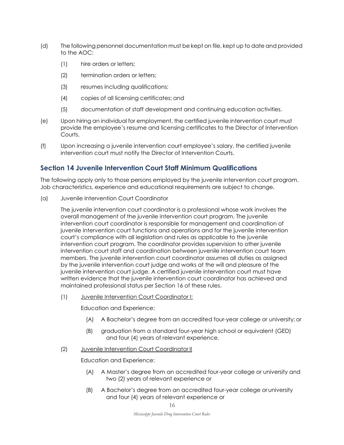- (d) The following personnel documentation must be kept on file, kept up to date and provided to the AOC:
	- (1) hire orders or letters;
	- (2) termination orders or letters;
	- (3) resumes including qualifications;
	- (4) copies of all licensing certificates; and
	- (5) documentation of staff development and continuing education activities.
- (e) Upon hiring an individual for employment, the certified juvenile intervention court must provide the employee's resume and licensing certificates to the Director of Intervention Courts.
- (f) Upon increasing a juvenile intervention court employee's salary, the certified juvenile intervention court must notify the Director of Intervention Courts.

#### **Section 14 Juvenile Intervention Court Staff Minimum Qualifications**

The following apply only to those persons employed by the juvenile intervention court program. Job characteristics, experience and educational requirements are subject to change.

(a) Juvenile Intervention Court Coordinator

The juvenile intervention court coordinator is a professional whose work involves the overall management of the juvenile intervention court program. The juvenile intervention court coordinator is responsible for management and coordination of juvenile intervention court functions and operations and for the juvenile intervention court's compliance with all legislation and rules as applicable to the juvenile intervention court program. The coordinator provides supervision to other juvenile intervention court staff and coordination between juvenile intervention court team members. The juvenile intervention court coordinator assumes all duties as assigned by the juvenile intervention court judge and works at the will and pleasure of the juvenile intervention court judge. A certified juvenile intervention court must have written evidence that the juvenile intervention court coordinator has achieved and maintained professional status per Section 16 of these rules.

(1) Juvenile Intervention Court Coordinator I:

Education and Experience:

- (A) A Bachelor's degree from an accredited four-year college or university; or
- (B) graduation from a standard four-year high school or equivalent (GED) and four (4) years of relevant experience.
- (2) Juvenile Intervention Court Coordinator II

Education and Experience:

- (A) A Master's degree from an accredited four-year college or university and two (2) years of relevant experience or
- (B) A Bachelor's degree from an accredited four-year college or university and four (4) years of relevant experience or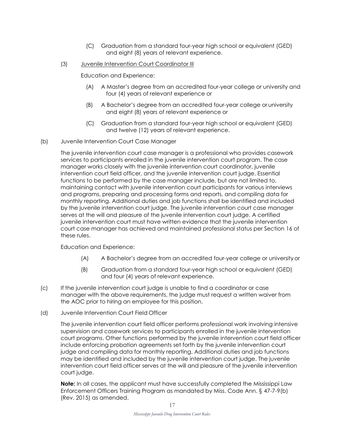- (C) Graduation from a standard four-year high school or equivalent (GED) and eight (8) years of relevant experience.
- (3) Juvenile Intervention Court Coordinator III

Education and Experience:

- (A) A Master's degree from an accredited four-year college or university and four (4) years of relevant experience or
- (B) A Bachelor's degree from an accredited four-year college or university and eight (8) years of relevant experience or
- (C) Graduation from a standard four-year high school or equivalent (GED) and twelve (12) years of relevant experience.
- (b) Juvenile Intervention Court Case Manager

The juvenile intervention court case manager is a professional who provides casework services to participants enrolled in the juvenile intervention court program. The case manager works closely with the juvenile intervention court coordinator, juvenile intervention court field officer, and the juvenile intervention court judge. Essential functions to be performed by the case manager include, but are not limited to, maintaining contact with juvenile intervention court participants for various interviews and programs, preparing and processing forms and reports, and compiling data for monthly reporting. Additional duties and job functions shall be identified and included by the juvenile intervention court judge. The juvenile intervention court case manager serves at the will and pleasure of the juvenile intervention court judge. A certified juvenile intervention court must have written evidence that the juvenile intervention court case manager has achieved and maintained professional status per Section 16 of these rules.

#### Education and Experience:

- (A) A Bachelor's degree from an accredited four-year college or universityor
- (B) Graduation from a standard four-year high school or equivalent (GED) and four (4) years of relevant experience.
- (c) If the juvenile intervention court judge is unable to find a coordinator or case manager with the above requirements, the judge must request a written waiver from the AOC prior to hiring an employee for this position.
- (d) Juvenile Intervention Court Field Officer

The juvenile intervention court field officer performs professional work involving intensive supervision and casework services to participants enrolled in the juvenile intervention court programs. Other functions performed by the juvenile intervention court field officer include enforcing probation agreements set forth by the juvenile intervention court judge and compiling data for monthly reporting. Additional duties and job functions may be identified and included by the juvenile intervention court judge. The juvenile intervention court field officer serves at the will and pleasure of the juvenile intervention court judge.

**Note:** In all cases, the applicant must have successfully completed the Mississippi Law Enforcement Officers Training Program as mandated by Miss. Code Ann. § 47-7-9(b) (Rev. 2015) as amended.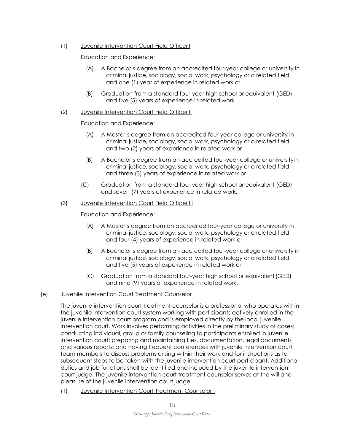(1) Juvenile Intervention Court Field Officer I

Education and Experience:

- (A) A Bachelor's degree from an accredited four-year college or university in criminal justice, sociology, social work, psychology or a related field and one (1) year of experience in related work or
- (B) Graduation from a standard four-year high school or equivalent (GED) and five (5) years of experience in related work.

#### (2) Juvenile Intervention Court Field Officer II

Education and Experience:

- (A) A Master's degree from an accredited four-year college or university in criminal justice, sociology, social work, psychology or a related field and two (2) years of experience in related work or
- (B) A Bachelor's degree from an accredited four-year college or universityin criminal justice, sociology, social work, psychology or a related field and three (3) years of experience in related work or
- (C) Graduation from a standard four-year high school or equivalent (GED) and seven (7) years of experience in related work.

#### (3) Juvenile Intervention Court Field Officer III

Education and Experience:

- (A) A Master's degree from an accredited four-year college or university in criminal justice, sociology, social work, psychology or a related field and four (4) years of experience in related work or
- (B) A Bachelor's degree from an accredited four-year college or university in criminal justice, sociology, social work, psychology or a related field and five (5) years of experience in related work or
- (C) Graduation from a standard four-year high school or equivalent(GED) and nine (9) years of experience in related work.
- (e) Juvenile Intervention Court Treatment Counselor

The juvenile intervention court treatment counselor is a professional who operates within the juvenile intervention court system working with participants actively enrolled in the juvenile intervention court program and is employed directly by the local juvenile intervention court. Work involves performing activities in the preliminary study of cases; conducting individual, group or family counseling to participants enrolled in juvenile intervention court; preparing and maintaining files, documentation, legal documents and various reports; and having frequent conferences with juvenile intervention court team members to discuss problems arising within their work and for instructions as to subsequent steps to be taken with the juvenile intervention court participant. Additional duties and job functions shall be identified and included by the juvenile intervention court judge. The juvenile intervention court treatment counselor serves at the will and pleasure of the juvenile intervention court judge.

(1) Juvenile Intervention Court Treatment Counselor I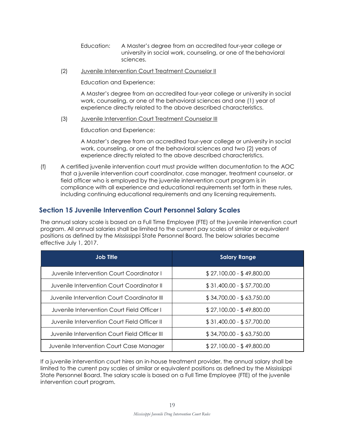Education: A Master's degree from an accredited four-year college or university in social work, counseling, or one of thebehavioral sciences.

(2) Juvenile Intervention Court Treatment Counselor II

Education and Experience:

A Master's degree from an accredited four-year college or university in social work, counseling, or one of the behavioral sciences and one (1) year of experience directly related to the above described characteristics.

(3) Juvenile Intervention Court Treatment Counselor III

Education and Experience:

A Master's degree from an accredited four-year college or university in social work, counseling, or one of the behavioral sciences and two (2) years of experience directly related to the above described characteristics.

(f) A certified juvenile intervention court must provide written documentation to the AOC that a juvenile intervention court coordinator, case manager, treatment counselor, or field officer who is employed by the juvenile intervention court program is in compliance with all experience and educational requirements set forth in these rules, including continuing educational requirements and any licensing requirements.

## **Section 15 Juvenile Intervention Court Personnel Salary Scales**

The annual salary scale is based on a Full Time Employee (FTE) of the juvenile intervention court program. All annual salaries shall be limited to the current pay scales of similar or equivalent positions as defined by the Mississippi State Personnel Board. The below salaries became effective July 1, 2017.

| Job Title                                     | <b>Salary Range</b>       |
|-----------------------------------------------|---------------------------|
| Juvenile Intervention Court Coordinator I     | $$27,100.00 - $49,800.00$ |
| Juvenile Intervention Court Coordinator II    | $$31,400.00 - $57,700.00$ |
| Juvenile Intervention Court Coordinator III   | $$34,700.00 - $63,750.00$ |
| Juvenile Intervention Court Field Officer I   | $$27,100.00 - $49,800.00$ |
| Juvenile Intervention Court Field Officer II  | \$31,400.00 - \$57,700.00 |
| Juvenile Intervention Court Field Officer III | $$34,700.00 - $63,750.00$ |
| Juvenile Intervention Court Case Manager      | $$27,100.00 - $49,800.00$ |

If a juvenile intervention court hires an in-house treatment provider, the annual salary shall be limited to the current pay scales of similar or equivalent positions as defined by the Mississippi State Personnel Board. The salary scale is based on a Full Time Employee (FTE) of the juvenile intervention court program.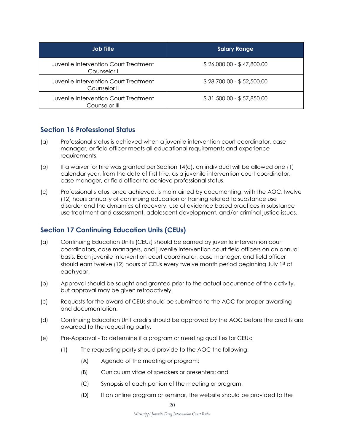| <b>Job Title</b>                                       | <b>Salary Range</b>       |
|--------------------------------------------------------|---------------------------|
| Juvenile Intervention Court Treatment<br>Counselor I   | $$26,000.00 - $47,800.00$ |
| Juvenile Intervention Court Treatment<br>Counselor II  | $$28,700.00 - $52,500.00$ |
| Juvenile Intervention Court Treatment<br>Counselor III | $$31,500.00 - $57,850.00$ |

## **Section 16 Professional Status**

- (a) Professional status is achieved when a juvenile intervention court coordinator, case manager, or field officer meets all educational requirements and experience requirements.
- (b) If a waiver for hire was granted per Section 14(c), an individual will be allowed one (1) calendar year, from the date of first hire, as a juvenile intervention court coordinator, case manager, or field officer to achieve professional status.
- (c) Professional status, once achieved, is maintained by documenting, with the AOC,twelve (12) hours annually of continuing education or training related to substance use disorder and the dynamics of recovery, use of evidence based practices in substance use treatment and assessment, adolescent development, and/or criminal justice issues.

## **Section 17 Continuing Education Units (CEUs)**

- (a) Continuing Education Units (CEUs) should be earned by juvenile intervention court coordinators, case managers, and juvenile intervention court field officers on an annual basis. Each juvenile intervention court coordinator, case manager, and field officer should earn twelve (12) hours of CEUs every twelve month period beginning July 1st of eachyear.
- (b) Approval should be sought and granted prior to the actual occurrence of the activity, but approval may be given retroactively.
- (c) Requests for the award of CEUs should be submitted to the AOC for proper awarding and documentation.
- (d) Continuing Education Unit credits should be approved by the AOC before the credits are awarded to the requesting party.
- (e) Pre-Approval To determine if a program or meeting qualifies for CEUs:
	- (1) The requesting party should provide to the AOC the following:
		- (A) Agenda of the meeting or program;
		- (B) Curriculum vitae of speakers or presenters; and
		- (C) Synopsis of each portion of the meeting or program.
		- (D) If an online program or seminar, the website should be provided to the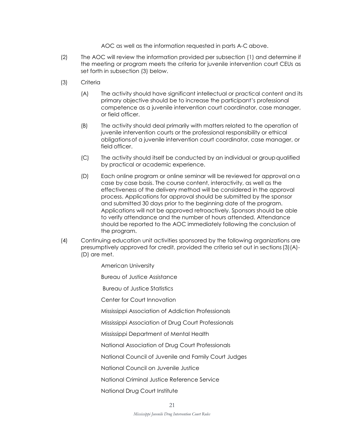AOC as well as the information requested in parts A-C above.

- (2) The AOC will review the information provided per subsection (1) and determine if the meeting or program meets the criteria for juvenile intervention court CEUs as set forth in subsection (3) below.
- (3) Criteria
	- (A) The activity should have significant intellectual or practical content and its primary objective should be to increase the participant's professional competence as a juvenile intervention court coordinator, case manager, or field officer.
	- (B) The activity should deal primarily with matters related to the operation of juvenile intervention courts or the professional responsibility or ethical obligationsof a juvenile intervention court coordinator, case manager, or field officer.
	- (C) The activity should itself be conducted by an individual or groupqualified by practical or academic experience.
	- (D) Each online program or online seminar will be reviewed for approval ona case by case basis. The course content, interactivity, as well as the effectiveness of the delivery method will be considered in the approval process. Applications for approval should be submitted by the sponsor and submitted 30 days prior to the beginning date of the program. Applications will not be approved retroactively. Sponsors should be able to verify attendance and the number of hours attended. Attendance should be reported to the AOC immediately following the conclusion of the program.
- (4) Continuing education unit activities sponsored by the following organizations are presumptively approved for credit, provided the criteria set out in sections(3)(A)- (D) are met.
	- American University

Bureau of Justice Assistance

Bureau of Justice Statistics

Center for Court Innovation

Mississippi Association of Addiction Professionals

Mississippi Association of Drug Court Professionals

Mississippi Department of Mental Health

National Association of Drug Court Professionals

National Council of Juvenile and Family Court Judges

National Council on Juvenile Justice

National Criminal Justice Reference Service

National Drug Court Institute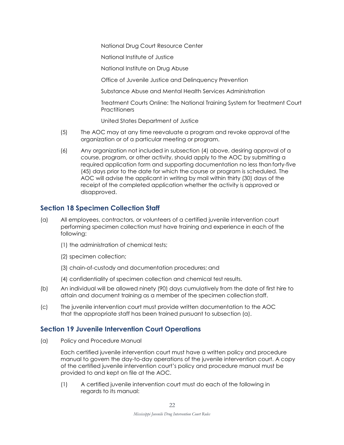National Drug Court Resource Center

National Institute of Justice

National Institute on Drug Abuse

Office of Juvenile Justice and Delinquency Prevention

Substance Abuse and Mental Health Services Administration

Treatment Courts Online: The National Training System for Treatment Court **Practitioners** 

United States Department of Justice

- (5) The AOC may at any time reevaluate a program and revoke approval ofthe organization or of a particular meeting or program.
- (6) Any organization not included in subsection (4) above, desiring approval of a course, program, or other activity, should apply to the AOC by submitting a required application form and supporting documentation no less than forty-five (45) days prior to the date for which the course or program is scheduled. The AOC will advise the applicant in writing by mail within thirty (30) days of the receipt of the completed application whether the activity is approved or disapproved.

## **Section 18 Specimen Collection Staff**

- (a) All employees, contractors, or volunteers of a certified juvenile intervention court performing specimen collection must have training and experience in each of the following:
	- (1) the administration of chemical tests;
	- (2) specimen collection;
	- (3) chain-of-custody and documentation procedures; and
	- (4) confidentiality of specimen collection and chemical test results.
- (b) An individual will be allowed ninety (90) days cumulatively from the date of first hire to attain and document training as a member of the specimen collection staff.
- (c) The juvenile intervention court must provide written documentation to the AOC that the appropriate staff has been trained pursuant to subsection (a).

## **Section 19 Juvenile Intervention Court Operations**

(a) Policy and Procedure Manual

Each certified juvenile intervention court must have a written policy and procedure manual to govern the day-to-day operations of the juvenile intervention court. A copy of the certified juvenile intervention court's policy and procedure manual must be provided to and kept on file at the AOC.

(1) A certified juvenile intervention court must do each of the following in regards to its manual: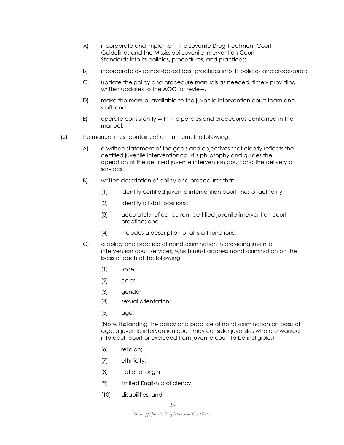- (A) incorporate and implement the Juvenile Drug Treatment Court Guidelines and the Mississippi Juvenile Intervention Court Standards into its policies, procedures, and practices;
- (B) incorporate evidence-based best practices into its policies and procedures;
- (C) update the policy and procedure manuals as needed, timely providing written updates to the AOC for review.
- (D) make the manual available to the juvenile intervention court team and staff;and
- (E) operate consistently with the policies and procedures contained in the manual.
- (2) The manual must contain, at a minimum, the following:
	- (A) a written statement of the goals and objectives that clearly reflects the certified juvenile interventioncourt's philosophy and guides the operation of the certified juvenile intervention court and the delivery of services;
	- (B) written description of policy and procedures that:
		- (1) identify certified juvenile intervention court lines of authority;
		- (2) identify all staff positions;
		- (3) accurately reflect current certified juvenile intervention court practice; and
		- (4) includes a description of all staff functions.
	- (C) a policy and practice of nondiscrimination in providing juvenile intervention court services, which must address nondiscrimination on the basis of each of the following:
		- (1) race;
		- (2) color;
		- (3) gender;
		- (4) sexual orientation;
		- (5) age;

(Notwithstanding the policy and practice of nondiscrimination on basis of age, a juvenile intervention court may consider juveniles who are waived into adult court or excluded from juvenile court to be ineligible.)

- (6) religion;
- (7) ethnicity;
- (8) national origin;
- (9) limited English proficiency;
- (10) disabilities; and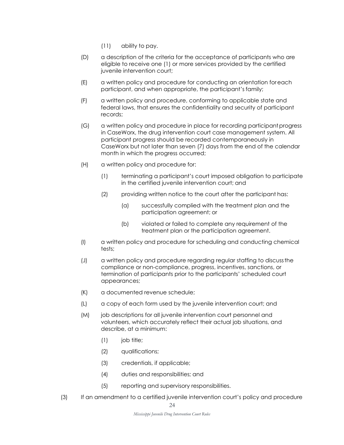- (11) ability to pay.
- (D) a description of the criteria for the acceptance of participants who are eligible to receive one (1) or more services provided by the certified juvenile intervention court;
- (E) a written policy and procedure for conducting an orientation foreach participant, and when appropriate, the participant's family;
- (F) a written policy and procedure, conforming to applicable state and federal laws, that ensures the confidentiality and security of participant records;
- (G) a written policy and procedure in place for recording participantprogress in CaseWorx, the drug intervention court case management system. All participant progress should be recorded contemporaneously in CaseWorx but not later than seven (7) days from the end of the calendar month in which the progress occurred;
- (H) a written policy and procedure for:
	- (1) terminating a participant's court imposed obligation to participate in the certified juvenile intervention court; and
	- (2) providing written notice to the court after the participant has:
		- (a) successfully complied with the treatment plan and the participation agreement; or
		- (b) violated or failed to complete any requirement of the treatment plan or the participation agreement.
- (I) a written policy and procedure for scheduling and conducting chemical tests;
- (J) a written policy and procedure regarding regular staffing to discussthe compliance or non-compliance, progress, incentives, sanctions, or termination of participants prior to the participants' scheduled court appearances;
- (K) a documented revenue schedule;
- (L) a copy of each form used by the juvenile intervention court; and
- (M) job descriptions for all juvenile intervention court personnel and volunteers, which accurately reflect their actual job situations, and describe, at a minimum:
	- (1) job title;
	- (2) qualifications;
	- (3) credentials, if applicable;
	- (4) duties and responsibilities; and
	- (5) reporting and supervisory responsibilities.
- (3) If an amendment to a certified juvenile intervention court's policy and procedure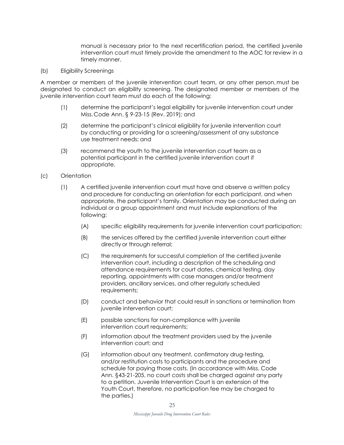manual is necessary prior to the next recertification period, the certified juvenile intervention court must timely provide the amendment to the AOC for review in a timely manner.

(b) Eligibility Screenings

A member or members of the juvenile intervention court team, or any other person, must be designated to conduct an eligibility screening. The designated member or members of the juvenile intervention court team must do each of the following:

- (1) determine the participant's legal eligibility for juvenile intervention court under Miss.Code Ann. § 9-23-15 (Rev. 2019); and
- (2) determine the participant's clinical eligibility for juvenile intervention court by conducting or providing for a screening/assessment of any substance use treatment needs; and
- (3) recommend the youth to the juvenile intervention court team as a potential participant in the certified juvenile intervention court if appropriate.
- (c) Orientation
	- (1) A certified juvenile intervention court must have and observe a written policy and procedure for conducting an orientation for each participant, and when appropriate, the participant's family. Orientation may be conducted during an individual or a group appointment and must include explanations of the following:
		- (A) specific eligibility requirements for juvenile intervention court participation;
		- (B) the services offered by the certified juvenile intervention court either directly or through referral;
		- (C) the requirements for successful completion of the certified juvenile intervention court, including a description of the scheduling and attendance requirements for court dates, chemical testing, day reporting, appointments with case managers and/or treatment providers, ancillary services, and other regularly scheduled requirements;
		- (D) conduct and behavior that could result in sanctions or termination from juvenile intervention court;
		- (E) possible sanctions for non-compliance with juvenile intervention court requirements;
		- (F) information about the treatment providers used by the juvenile intervention court; and
		- (G) information about any treatment, confirmatory drug-testing, and/or restitution costs to participants and the procedure and schedule for paying those costs. (In accordance with Miss. Code Ann. §43-21-205, no court costs shall be charged against any party to a petition. Juvenile Intervention Court is an extension of the Youth Court, therefore, no participation fee may be charged to the parties.)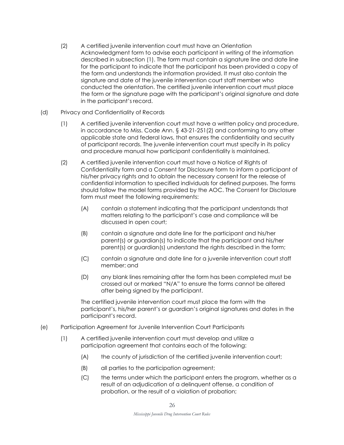(2) A certified juvenile intervention court must have an Orientation Acknowledgment form to advise each participant in writing of the information described in subsection (1). The form must contain a signature line and date line for the participant to indicate that the participant has been provided a copy of the form and understands the information provided. It must also contain the signature and date of the juvenile intervention court staff member who conducted the orientation. The certified juvenile intervention court must place the form or the signature page with the participant's original signature and date in the participant's record.

#### (d) Privacy and Confidentiality of Records

- (1) A certified juvenile intervention court must have a written policy and procedure, in accordance to Miss. Code Ann. § 43-21-251(2) and conforming to any other applicable state and federal laws, that ensures the confidentiality and security of participant records. The juvenile intervention court must specify in its policy and procedure manual how participant confidentiality is maintained.
- (2) A certified juvenile intervention court must have a Notice of Rights of Confidentiality form and a Consent for Disclosure form to inform a participant of his/her privacy rights and to obtain the necessary consent for the release of confidential information to specified individuals for defined purposes. The forms should follow the model forms provided by the AOC. The Consent for Disclosure form must meet the following requirements:
	- (A) contain a statement indicating that the participant understands that matters relating to the participant's case and compliance will be discussed in open court;
	- (B) contain a signature and date line for the participant and his/her parent(s) or guardian(s) to indicate that the participant and his/her parent(s) or guardian(s) understand the rights described in the form;
	- (C) contain a signature and date line for a juvenile intervention court staff member; and
	- (D) any blank lines remaining after the form has been completed must be crossed out or marked "N/A" to ensure the forms cannot be altered after being signed by the participant.

The certified juvenile intervention court must place the form with the participant's, his/her parent's or guardian's original signatures and dates in the participant's record.

- (e) Participation Agreement for Juvenile Intervention Court Participants
	- (1) A certified juvenile intervention court must develop and utilize a participation agreement that contains each of the following:
		- (A) the county of jurisdiction of the certified juvenile intervention court;
		- (B) all parties to the participation agreement;
		- (C) the terms under which the participant enters the program, whether as a result of an adjudication of a delinquent offense, a condition of probation, or the result of a violation of probation;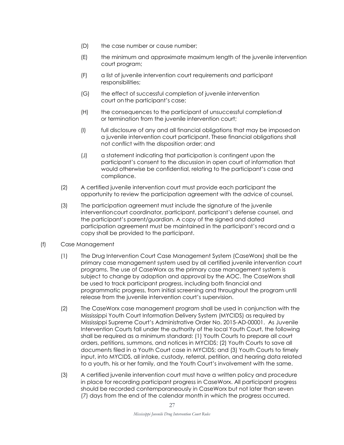- (D) the case number or cause number;
- (E) the minimum and approximate maximum length of the juvenile intervention court program;
- (F) a list of juvenile intervention court requirements and participant responsibilities;
- (G) the effect of successful completion of juvenile intervention court on the participant's case;
- (H) the consequences to the participant of unsuccessful completionof or termination from the juvenile intervention court;
- (I) full disclosure of any and all financial obligations that may be imposedon a juvenile intervention court participant. These financial obligations shall not conflict with the disposition order; and
- (J) a statement indicating that participation is contingent upon the participant's consent to the discussion in open court of information that would otherwise be confidential, relating to the participant's case and compliance.
- (2) A certified juvenile intervention court must provide each participant the opportunity to review the participation agreement with the advice of counsel.
- (3) The participation agreement must include the signature of the juvenile interventioncourt coordinator, participant, participant's defense counsel, and the participant's parent/guardian. A copy of the signed and dated participation agreement must be maintained in the participant's record and a copy shall be provided to the participant.
- (f) Case Management
	- (1) The Drug Intervention Court Case Management System (CaseWorx) shall be the primary case management system used by all certified juvenile intervention court programs. The use of CaseWorx as the primary case management system is subject to change by adoption and approval by the AOC. The CaseWorx shall be used to track participant progress, including both financial and programmatic progress, from initial screening and throughout the program until release from the juvenile intervention court's supervision.
	- (2) The CaseWorx case management program shall be used in conjunction with the Mississippi Youth Court Information Delivery System (MYCIDS) as required by Mississippi Supreme Court's Administrative Order No. 2015-AD-00001. As Juvenile Intervention Courts fall under the authority of the local Youth Court, the following shall be required as a minimum standard: (1) Youth Courts to prepare all court orders, petitions, summons, and notices in MYCIDS; (2) Youth Courts to save all documents filed in a Youth Court case in MYCIDS; and (3) Youth Courts to timely input, into MYCIDS, all intake, custody, referral, petition, and hearing data related to a youth, his or her family, and the Youth Court's involvement with the same.
	- (3) A certified juvenile intervention court must have a written policy and procedure in place for recording participant progress in CaseWorx. All participant progress should be recorded contemporaneously in CaseWorx but not later than seven (7) days from the end of the calendar month in which the progress occurred.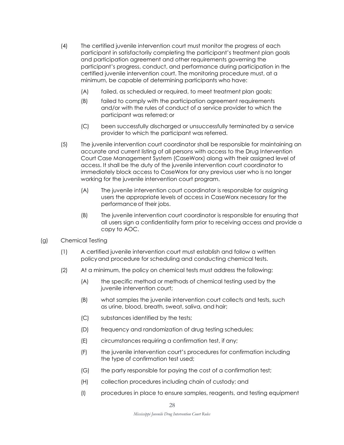- (4) The certified juvenile intervention court must monitor the progress of each participant in satisfactorily completing the participant's treatment plan goals and participation agreement and other requirements governing the participant's progress, conduct, and performance during participation in the certified juvenile intervention court. The monitoring procedure must, at a minimum, be capable of determining participants who have:
	- (A) failed, as scheduled or required, to meet treatment plan goals;
	- (B) failed to comply with the participation agreement requirements and/or with the rules of conduct of a service provider to which the participant was referred;or
	- (C) been successfully discharged or unsuccessfully terminated by a service provider to which the participant was referred.
- (5) The juvenile intervention court coordinator shall be responsible for maintaining an accurate and current listing of all persons with access to the Drug Intervention Court Case Management System (CaseWorx) along with their assigned level of access. It shall be the duty of the juvenile intervention court coordinator to immediately block access to CaseWorx for any previous user who is no longer working for the juvenile intervention court program.
	- (A) The juvenile intervention court coordinator is responsible for assigning users the appropriate levels of access in CaseWorx necessary for the performance of their jobs.
	- (B) The juvenile intervention court coordinator is responsible for ensuring that all users sign a confidentiality form prior to receiving access and provide a copy to AOC.
- (g) Chemical Testing
	- (1) A certified juvenile intervention court must establish and follow a written policyand procedure for scheduling and conducting chemical tests.
	- (2) At a minimum, the policy on chemical tests must address the following:
		- (A) the specific method or methods of chemical testing used by the juvenile intervention court;
		- (B) what samples the juvenile intervention court collects and tests, such as urine, blood, breath, sweat, saliva, and hair;
		- (C) substances identified by the tests;
		- (D) frequency and randomization of drug testing schedules;
		- (E) circumstances requiring a confirmation test, if any;
		- (F) the juvenile intervention court's procedures for confirmation including the type of confirmation test used;
		- (G) the party responsible for paying the cost of a confirmation test;
		- (H) collection procedures including chain of custody; and
		- (I) procedures in place to ensure samples, reagents, and testing equipment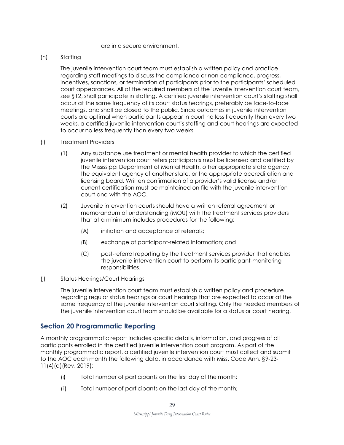#### are in a secure environment.

#### (h) Staffing

The juvenile intervention court team must establish a written policy and practice regarding staff meetings to discuss the compliance or non-compliance, progress, incentives, sanctions, or termination of participants prior to the participants' scheduled court appearances. All of the required members of the juvenile intervention court team, see §12, shall participate in staffing. A certified juvenile intervention court's staffing shall occur at the same frequency of its court status hearings, preferably be face-to-face meetings, and shall be closed to the public. Since outcomes in juvenile intervention courts are optimal when participants appear in court no less frequently than every two weeks, a certified juvenile intervention court's staffing and court hearings are expected to occur no less frequently than every two weeks.

#### (i) Treatment Providers

- (1) Any substance use treatment or mental health provider to which the certified juvenile intervention court refers participants must be licensed and certified by the Mississippi Department of Mental Health, other appropriate state agency, the equivalent agency of another state, or the appropriate accreditation and licensing board. Written confirmation of a provider's valid license and/or current certification must be maintained on file with the juvenile intervention court and with the AOC.
- (2) Juvenile intervention courts should have a written referral agreement or memorandum of understanding (MOU) with the treatment services providers that at a minimum includes procedures for the following:
	- (A) initiation and acceptance of referrals;
	- (B) exchange of participant-related information; and
	- (C) post-referral reporting by the treatment services provider that enables the juvenile intervention court to perform its participant-monitoring responsibilities.

#### (j) Status Hearings/Court Hearings

The juvenile intervention court team must establish a written policy and procedure regarding regular status hearings or court hearings that are expected to occur at the same frequency of the juvenile intervention court staffing. Only the needed members of the juvenile intervention court team should be available for a status or court hearing.

#### **Section 20 Programmatic Reporting**

A monthly programmatic report includes specific details, information, and progress of all participants enrolled in the certified juvenile intervention court program. As part of the monthly programmatic report, a certified juvenile intervention court must collect and submit to the AOC each month the following data, in accordance with Miss. Code Ann. §9-23- 11(4)(a)(Rev. 2019):

- (i) Total number of participants on the first day of the month;
- (ii) Total number of participants on the last day of the month;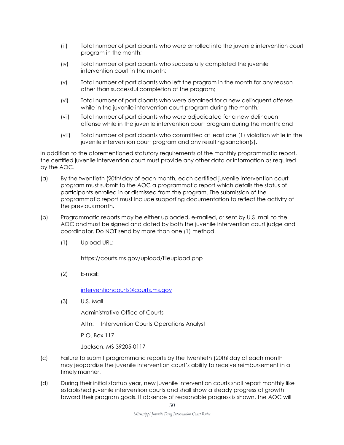- (iii) Total number of participants who were enrolled into the juvenile intervention court program in the month;
- (iv) Total number of participants who successfully completed the juvenile intervention court in the month;
- (v) Total number of participants who left the program in the month for any reason other than successful completion of the program;
- (vi) Total number of participants who were detained for a new delinquent offense while in the juvenile intervention court program during the month;
- (vii) Total number of participants who were adjudicated for a new delinquent offense while in the juvenile intervention court program during the month; and
- (viii) Total number of participants who committed at least one (1) violation while in the juvenile intervention court program and any resulting sanction(s).

In addition to the aforementioned statutory requirements of the monthly programmatic report, the certified juvenile intervention court must provide any other data or information as required by the AOC.

- (a) By the twentieth (20th<sup>)</sup> day of each month, each certified juvenile intervention court program must submit to the AOC a programmatic report which details the status of participants enrolled in or dismissed from the program. The submission of the programmatic report must include supporting documentation to reflect the activity of the previous month.
- (b) Programmatic reports may be either uploaded, e-mailed, or sent by U.S. mail to the AOC andmust be signed and dated by both the juvenile intervention court judge and coordinator. Do NOT send by more than one (1) method.
	- (1) Upload URL:

https://courts.ms.gov/upload/fileupload.php

(2) E-mail[:](mailto:interventioncourts@courts.ms.gov)

[interventioncourts@courts.ms.gov](mailto:interventioncourts@courts.ms.gov)

(3) U.S. Mail

Administrative Office of Courts

Attn: Intervention Courts Operations Analyst

P.O. Box 117

Jackson, MS 39205-0117

- (c) Failure to submit programmatic reports by the twentieth (20th) day of each month may jeopardize the juvenile intervention court's ability to receive reimbursement in a timely manner.
- (d) During their initial startup year, new juvenile intervention courts shall report monthly like established juvenile intervention courts and shall show a steady progress of growth toward their program goals. If absence of reasonable progress is shown, the AOC will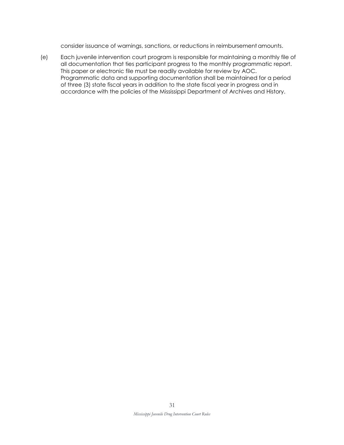consider issuance of warnings, sanctions, or reductions in reimbursementamounts.

(e) Each juvenile intervention court program is responsible for maintaining a monthly file of all documentation that ties participant progress to the monthly programmatic report. This paper or electronic file must be readily available for review by AOC. Programmatic data and supporting documentation shall be maintained for a period of three (3) state fiscal years in addition to the state fiscal year in progress and in accordance with the policies of the Mississippi Department of Archives and History.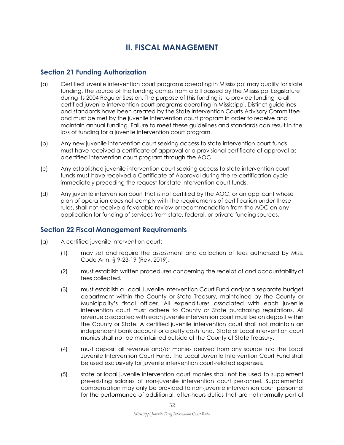# **II. FISCAL MANAGEMENT**

## **Section 21 Funding Authorization**

- (a) Certified juvenile intervention court programs operating in Mississippi may qualify for state funding. The source of the funding comes from a bill passed by the Mississippi Legislature during its 2004 Regular Session. The purpose of this funding is to provide funding to all certified juvenile intervention court programs operating in Mississippi. Distinct guidelines and standards have been created by the State Intervention Courts Advisory Committee and must be met by the juvenile intervention court program in order to receive and maintain annual funding. Failure to meet these guidelines and standards can result in the loss of funding for a juvenile intervention court program.
- (b) Any new juvenile intervention court seeking access to state intervention court funds must have received a certificate of approval or a provisional certificate of approval as acertified intervention court program through the AOC.
- (c) Any established juvenile intervention court seeking access to state intervention court funds must have received a Certificate of Approval during the re-certification cycle immediately preceding the request for state intervention court funds.
- (d) Any juvenile intervention court that is not certified by the AOC, or an applicant whose plan of operation does not comply with the requirements of certification under these rules, shall not receive a favorable review orrecommendation from the AOC on any application for funding of services from state, federal, or private funding sources.

## **Section 22 Fiscal Management Requirements**

- (a) A certified juvenile intervention court:
	- (1) may set and require the assessment and collection of fees authorized by Miss. Code Ann. § 9-23-19 (Rev. 2019).
	- (2) must establish written procedures concerning the receipt of and accountabilityof fees collected.
	- (3) must establish a Local Juvenile Intervention Court Fund and/or a separate budget department within the County or State Treasury, maintained by the County or Municipality's fiscal officer. All expenditures associated with each juvenile intervention court must adhere to County or State purchasing regulations. All revenue associated with each juvenile intervention court must be on deposit within the County or State. A certified juvenile intervention court shall not maintain an independent bank account or a petty cash fund. State or Local intervention court monies shall not be maintained outside of the County of State Treasury.
	- (4) must deposit all revenue and/or monies derived from any source into the Local Juvenile Intervention Court Fund. The Local Juvenile Intervention Court Fund shall be used exclusively for juvenile intervention court-related expenses.
	- (5) state or local juvenile intervention court monies shall not be used to supplement pre-existing salaries of non-juvenile intervention court personnel. Supplemental compensation may only be provided to non-juvenile intervention court personnel for the performance of additional, after-hours duties that are not normally part of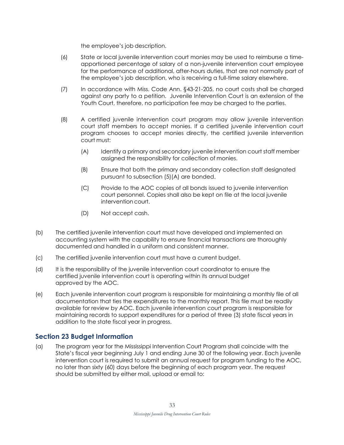the employee's job description.

- (6) State or local juvenile intervention court monies may be used to reimburse a timeapportioned percentage of salary of a non-juvenile intervention court employee for the performance of additional, after-hours duties, that are not normally part of the employee's job description, who is receiving a full-time salary elsewhere.
- (7) In accordance with Miss. Code Ann. §43-21-205, no court costs shall be charged against any party to a petition. Juvenile Intervention Court is an extension of the Youth Court, therefore, no participation fee may be charged to the parties.
- (8) A certified juvenile intervention court program may allow juvenile intervention court staff members to accept monies. If a certified juvenile intervention court program chooses to accept monies directly, the certified juvenile intervention court must:
	- (A) Identify a primary and secondary juvenile intervention court staff member assigned the responsibility for collection of monies.
	- (B) Ensure that both the primary and secondary collection staff designated pursuant to subsection (5)(A) are bonded.
	- (C) Provide to the AOC copies of all bonds issued to juvenile intervention court personnel. Copies shall also be kept on file at the local juvenile intervention court.
	- (D) Not accept cash.
- (b) The certified juvenile intervention court must have developed and implemented an accounting system with the capability to ensure financial transactions are thoroughly documented and handled in a uniform and consistent manner.
- (c) The certified juvenile intervention court must have a current budget.
- (d) It is the responsibility of the juvenile intervention court coordinator to ensure the certified juvenile intervention court is operating within its annual budget approved by the AOC.
- (e) Each juvenile intervention court program is responsible for maintaining a monthly file of all documentation that ties the expenditures to the monthly report. This file must be readily available for review by AOC. Each juvenile intervention court program is responsible for maintaining records to support expenditures for a period of three (3) state fiscal years in addition to the state fiscal year in progress.

## **Section 23 Budget Information**

(a) The program year for the Mississippi Intervention Court Program shall coincide with the State's fiscal year beginning July 1 and ending June 30 of the following year. Each juvenile intervention court is required to submit an annual request for program funding to the AOC, no later than sixty (60) days before the beginning of each program year. The request should be submitted by either mail, upload or email to: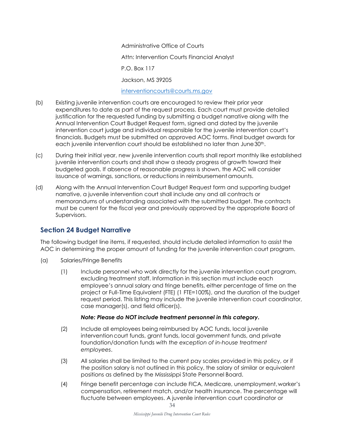Administrative Office of Courts Attn: Intervention Courts Financial Analyst P.O. Box 117 Jackson, MS 39205

#### [interventioncourts@courts.ms.gov](mailto:interventioncourts@courts.ms.gov)

- (b) Existing juvenile intervention courts are encouraged to review their prior year expenditures to date as part of the request process. Each court must provide detailed justification for the requested funding by submitting a budget narrative along with the Annual Intervention Court Budget Request form, signed and dated by the juvenile intervention court judge and individual responsible for the juvenile intervention court's financials. Budgets must be submitted on approved AOC forms. Final budget awards for each juvenile intervention court should be established no later than June 30<sup>th</sup>.
- (c) During their initial year, new juvenile intervention courts shall report monthly like established juvenile intervention courts and shall show a steady progress of growth toward their budgeted goals. If absence of reasonable progress is shown, the AOC will consider issuance of warnings, sanctions, or reductions in reimbursementamounts.
- (d) Along with the Annual Intervention Court Budget Request form and supporting budget narrative, a juvenile intervention court shall include any and all contracts or memorandums of understanding associated with the submitted budget. The contracts must be current for the fiscal year and previously approved by the appropriate Board of Supervisors.

## **Section 24 Budget Narrative**

The following budget line items, if requested, should include detailed information to assist the AOC in determining the proper amount of funding for the juvenile intervention court program.

- (a) Salaries/Fringe Benefits
	- (1) Include personnel who work directly for the juvenile intervention court program, excluding treatment staff. Information in this section must include each employee's annual salary and fringe benefits, either percentage of time on the project or Full-Time Equivalent (FTE) (1 FTE=100%), and the duration of the budget request period. This listing may include the juvenile intervention court coordinator, case manager(s), and field officer(s).

#### *Note: Please do NOT include treatment personnel in this category.*

- (2) Include all employees being reimbursed by AOC funds, local juvenile interventioncourt funds, grant funds, local government funds, and private foundation/donation funds *with the exception of in-house treatment employees*.
- (3) All salaries shall be limited to the current pay scales provided in this policy, or if the position salary is not outlined in this policy, the salary of similar or equivalent positions as defined by the Mississippi State Personnel Board.
- (4) Fringe benefit percentage can include FICA, Medicare, unemployment,worker's compensation, retirement match, and/or health insurance. The percentage will fluctuate between employees. A juvenile intervention court coordinator or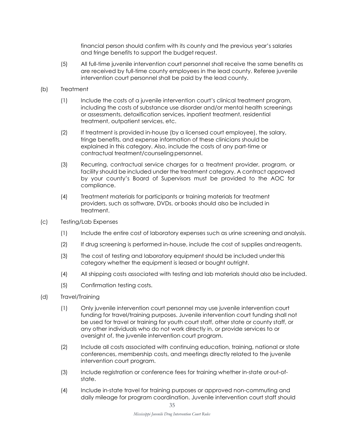financial person should confirm with its county and the previous year's salaries and fringe benefits to support the budget request.

(5) All full-time juvenile intervention court personnel shall receive the same benefits as are received by full-time county employees in the lead county. Referee juvenile intervention court personnel shall be paid by the lead county.

#### (b) Treatment

- (1) Include the costs of a juvenile intervention court's clinical treatment program, including the costs of substance use disorder and/or mental health screenings or assessments, detoxification services, inpatient treatment, residential treatment, outpatient services, etc.
- (2) If treatment is provided in-house (by a licensed court employee), the salary, fringe benefits, and expense information of these clinicians should be explained in this category. Also, include the costs of any part-time or contractual treatment/counselingpersonnel.
- (3) Recurring, contractual service charges for a treatment provider, program, or facility should be included under the treatment category. A contract approved by your county's Board of Supervisors must be provided to the AOC for compliance.
- (4) Treatment materials for participants or training materials for treatment providers, such as software, DVDs, orbooks should also be included in treatment.
- (c) Testing/Lab Expenses
	- (1) Include the entire cost of laboratory expenses such as urine screening and analysis.
	- (2) If drug screening is performed in-house, include the cost of supplies andreagents.
	- (3) The cost of testing and laboratory equipment should be included underthis category whether the equipment is leased or bought outright.
	- (4) All shipping costs associated with testing and lab materials should also be included.
	- (5) Confirmation testing costs.
- (d) Travel/Training
	- (1) Only juvenile intervention court personnel may use juvenile intervention court funding for travel/training purposes. Juvenile intervention court funding shall not be used for travel or training for youth court staff, other state or county staff, or any other individuals who do not work directly in, or provide services to or oversight of, the juvenile intervention court program.
	- (2) Include all costs associated with continuing education, training, national or state conferences, membership costs, and meetings directly related to the juvenile intervention court program.
	- (3) Include registration or conference fees for training whether in-state orout-ofstate.
	- (4) Include in-state travel for training purposes or approved non-commuting and daily mileage for program coordination. Juvenile intervention court staff should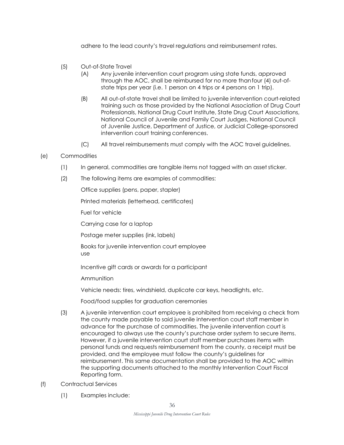adhere to the lead county's travel regulations and reimbursement rates.

- (5) Out-of-State Travel
	- (A) Any juvenile intervention court program using state funds, approved through the AOC, shall be reimbursed for no more thanfour (4) out-ofstate trips per year (i.e. 1 person on 4 trips or 4 persons on 1 trip).
	- (B) All out-of-state travel shall be limited to juvenile intervention court-related training such as those provided by the National Association of Drug Court Professionals, National Drug Court Institute, State Drug Court Associations, National Council of Juvenile and Family Court Judges, National Council of Juvenile Justice, Department of Justice, or Judicial College-sponsored intervention court training conferences.
	- (C) All travel reimbursements must comply with the AOC travel guidelines.
- (e) Commodities
	- (1) In general, commodities are tangible items not tagged with an asset sticker.
	- (2) The following items are examples of commodities:

Office supplies (pens, paper, stapler)

Printed materials (letterhead, certificates)

Fuel for vehicle

Carrying case for a laptop

Postage meter supplies (ink, labels)

Books for juvenile intervention court employee use

Incentive gift cards or awards for a participant

**Ammunition** 

Vehicle needs: tires, windshield, duplicate car keys, headlights, etc.

Food/food supplies for graduation ceremonies

- (3) A juvenile intervention court employee is prohibited from receiving a check from the county made payable to said juvenile intervention court staff member in advance for the purchase of commodities. The juvenile intervention court is encouraged to always use the county's purchase order system to secure items. However, if a juvenile intervention court staff member purchases items with personal funds and requests reimbursement from the county, a receipt must be provided, and the employee must follow the county's guidelines for reimbursement. This same documentation shall be provided to the AOC within the supporting documents attached to the monthly Intervention Court Fiscal Reporting form.
- (f) Contractual Services
	- (1) Examples include: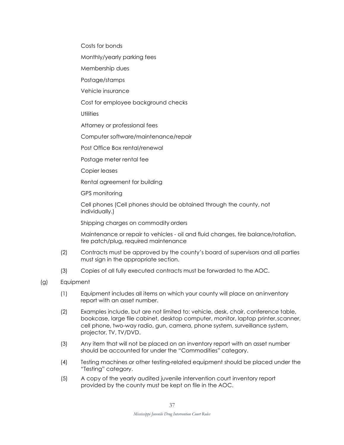Costs for bonds

Monthly/yearly parking fees

Membership dues

Postage/stamps

Vehicle insurance

Cost for employee background checks

**Utilities** 

Attorney or professional fees

Computer software/maintenance/repair

Post Office Box rental/renewal

Postage meter rental fee

Copier leases

Rental agreement for building

GPS monitoring

Cell phones (Cell phones should be obtained through the county, not individually.)

Shipping charges on commodity orders

Maintenance or repair to vehicles - oil and fluid changes, tire balance/rotation, tire patch/plug, required maintenance

- (2) Contracts must be approved by the county's board of supervisors and all parties must sign in the appropriate section.
- (3) Copies of all fully executed contracts must be forwarded to the AOC.
- (g) Equipment
	- (1) Equipment includes all items on which your county will place on aninventory report with an asset number.
	- (2) Examples include, but are not limited to: vehicle, desk, chair, conference table, bookcase, large file cabinet, desktop computer, monitor, laptop printer,scanner, cell phone, two-way radio, gun, camera, phone system, surveillance system, projector, TV, TV/DVD.
	- (3) Any item that will not be placed on an inventory report with an asset number should be accounted for under the "Commodities" category.
	- (4) Testing machines or other testing-related equipment should be placed under the "Testing" category.
	- (5) A copy of the yearly audited juvenile intervention court inventory report provided by the county must be kept on file in the AOC.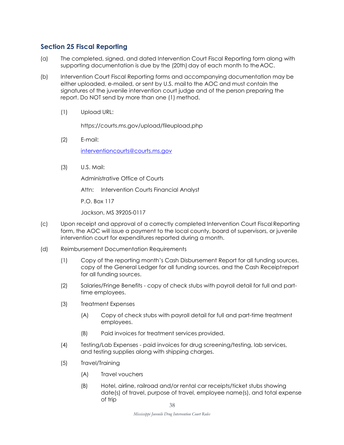## **Section 25 Fiscal Reporting**

- (a) The completed, signed, and dated Intervention Court Fiscal Reporting form along with supporting documentation is due by the (20th) day of each month to theAOC.
- (b) Intervention Court Fiscal Reporting forms and accompanying documentation may be either uploaded, e-mailed, or sent by U.S. mailto the AOC and must contain the signatures of the juvenile intervention court judge and of the person preparing the report. Do NOT send by more than one (1) method.
	- (1) Upload URL:

https://courts.ms.gov/upload/fileupload.php

(2) E-mail:

[interventioncourts@courts.ms.gov](mailto:interventioncourts@courts.ms.gov)

(3) U.S. Mail:

Administrative Office of Courts

Attn: Intervention Courts Financial Analyst

P.O. Box 117

Jackson, MS 39205-0117

- (c) Upon receipt and approval of a correctly completed Intervention Court Fiscal Reporting form, the AOC will issue a payment to the local county, board of supervisors, or juvenile intervention court for expenditures reported during a month.
- (d) Reimbursement Documentation Requirements
	- (1) Copy of the reporting month's Cash Disbursement Report for all funding sources, copy of the General Ledger for all funding sources, and the Cash Receiptreport for all funding sources.
	- (2) Salaries/Fringe Benefits copy of check stubs with payroll detail for full and parttime employees.
	- (3) Treatment Expenses
		- (A) Copy of check stubs with payroll detail for full and part-time treatment employees.
		- (B) Paid invoices for treatment services provided.
	- (4) Testing/Lab Expenses paid invoices for drug screening/testing, lab services, and testing supplies along with shipping charges.
	- (5) Travel/Training
		- (A) Travel vouchers
		- (B) Hotel, airline, railroad and/or rental car receipts/ticket stubs showing date(s) of travel, purpose of travel, employee name(s), and total expense of trip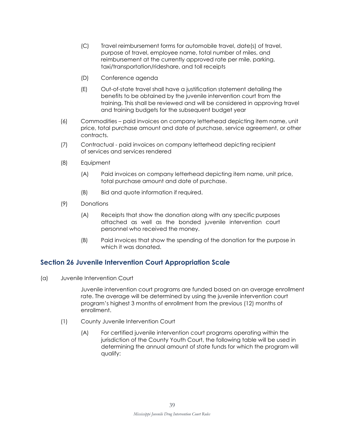- (C) Travel reimbursement forms for automobile travel, date(s) of travel, purpose of travel, employee name, total number of miles, and reimbursement at the currently approved rate per mile, parking, taxi/transportation/rideshare, and toll receipts
- (D) Conference agenda
- (E) Out-of-state travel shall have a justification statement detailing the benefits to be obtained by the juvenile intervention court from the training. This shall be reviewed and will be considered in approving travel and training budgets for the subsequent budget year
- (6) Commodities paid invoices on company letterhead depicting item name, unit price, total purchase amount and date of purchase, service agreement, or other contracts.
- (7) Contractual paid invoices on company letterhead depicting recipient of services and services rendered
- (8) Equipment
	- (A) Paid invoices on company letterhead depicting item name, unit price, total purchase amount and date of purchase.
	- (B) Bid and quote information if required.
- (9) Donations
	- (A) Receipts that show the donation along with any specific purposes attached as well as the bonded juvenile intervention court personnel who received the money.
	- (B) Paid invoices that show the spending of the donation for the purpose in which it was donated.

## **Section 26 Juvenile Intervention Court Appropriation Scale**

(a) Juvenile Intervention Court

Juvenile intervention court programs are funded based on an average enrollment rate. The average will be determined by using the juvenile intervention court program's highest 3 months of enrollment from the previous (12) months of enrollment.

- (1) County Juvenile Intervention Court
	- (A) For certified juvenile intervention court programs operating within the jurisdiction of the County Youth Court, the following table will be used in determining the annual amount of state funds for which the program will qualify: